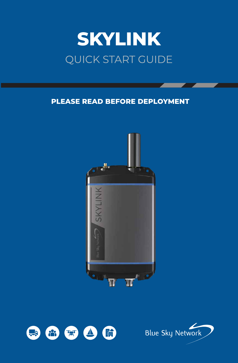# **SKYLINK** QUICK START GUIDE

## **PLEASE READ BEFORE DEPLOYMENT**





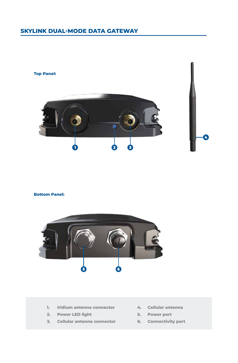### **SKYLINK DUAL-MODE DATA GATEWAY**



#### **Bottom Panel:**



- **1. Iridium antenna connector**
- **2. Power LED light**
- **3. Cellular antenna connector**
- **4. Cellular antenna**

Ø

- **5. Power port**
- **6. Connectivity port**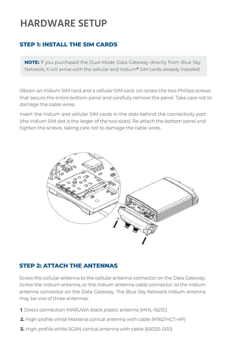# **HARDWARE SETUP**

### **STEP 1: INSTALL THE SIM CARDS**

**NOTE:** If you purchased the Dual-Mode Data Gateway directly from Blue Sky Network, it will arrive with the cellular and Iridium® SIM cards already installed.

Obtain an Iridium SIM card and a cellular SIM card. Un-screw the two Phillips screws that secure the entire bottom panel and carefully remove the panel. Take care not to damage the cable wires.

Insert the Iridium and cellular SIM cards in the slots behind the connectivity port (the Iridium SIM slot is the larger of the two slots). Re-attach the bottom panel and tighten the screws, taking care not to damage the cable wires.



#### **STEP 2: ATTACH THE ANTENNAS**

Screw the cellular antenna to the cellular antenna connector on the Data Gateway. Screw the Iridium antenna, or the Iridium antenna cable connector, to the Iridium antenna connector on the Data Gateway. The Blue Sky Network Iridium antenna may be one of three antennas:

- **1**. Direct connection MARUWA black plastic antenna (MHL-1621C)
- **2.** High-profile white Maxtena conical antenna with cable (M1621HCT-HP)
- **3.** High-profile white SCAN conical antenna with cable (65020-000)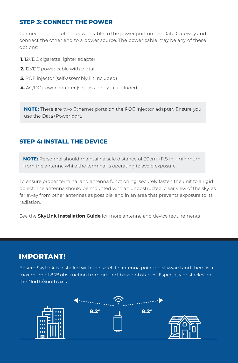#### **STEP 3: CONNECT THE POWER**

Connect one end of the power cable to the power port on the Data Gateway and connect the other end to a power source. The power cable may be any of these options:

- **1.** 12VDC cigarette lighter adapter
- **2.** 12VDC power cable with pigtail
- **3.** POE injector (self-assembly kit included)
- **4.** AC/DC power adapter (self-assembly kit included)

NOTE: There are two Ethernet ports on the POE injector adapter. Ensure you use the Data+Power port.

#### **STEP 4: INSTALL THE DEVICE**

**NOTE:** Personnel should maintain a safe distance of 30cm. (11.8 in.) minimum from the antenna while the terminal is operating to avoid exposure.

To ensure proper terminal and antenna functioning, securely fasten the unit to a rigid object. The antenna should be mounted with an unobstructed, clear view of the sky, as far away from other antennas as possible, and in an area that prevents exposure to its radiation.

See the **SkyLink Installation Guide** for more antenna and device requirements

### **IMPORTANT!**

Ensure SkyLink is installed with the satellite antenna pointing skyward and there is a maximum of 8.2° obstruction from ground-based obstacles. Especially obstacles on the North/South axis.

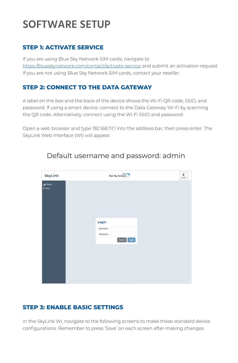# **SOFTWARE SETUP**

#### **STEP 1: ACTIVATE SERVICE**

If you are using Blue Sky Network SIM cards, navigate to https://blueskynetwork.com/contact/activate-service and submit an activation request. If you are not using Blue Sky Network SIM cards, contact your reseller.

#### **STEP 2: CONNECT TO THE DATA GATEWAY**

A label on the box and the back of the device shows the Wi-Fi QR code, SSID, and password. If using a smart device, connect to the Data Gateway Wi-Fi by scanning the QR code. Alternatively, connect using the Wi-Fi SSID and password.

Open a web browser and type 192.168.111.1 into the address bar, then press enter. The SkyLink Web Interface (WI) will appear.

| SkyLink                  | <b>Blue Sky Network</b> | ٨<br>Login |
|--------------------------|-------------------------|------------|
| d Status<br><b>7 Hop</b> |                         |            |
|                          |                         |            |
|                          |                         |            |
|                          | Login                   |            |
|                          | Userrame:<br>Password:  |            |
|                          | Cancel Login            |            |
|                          |                         |            |
|                          |                         |            |
|                          |                         |            |

# Default username and password: admin

#### **STEP 3: ENABLE BASIC SETTINGS**

In the SkyLink WI, navigate to the following screens to make these standard device configurations. Remember to press 'Save' on each screen after making changes.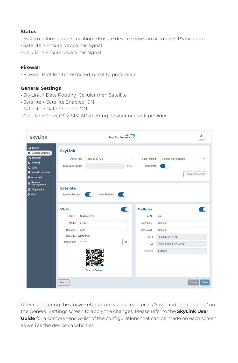#### **Status**

- System Information > Location > Ensure device shows an accurate GPS location
- Satellite > Ensure device has signal
- Cellular > Ensure device has signal

#### **Firewall**

• Firewall Profile > Unrestricted, or set to preference

#### **General Settings**

- SkyLink > Data Routing: Cellular then Satellite
- Satellite > Satellite Enabled: ON
- Satellite > Data Enabled: ON
- Cellular > Enter GSM SIM APN setting for your network provider

| <b>SkyLink</b>                                                                                                                                                                                                         | <b>Blue Sky Network</b>                                                                                                       |                                                                                                                                                                            | $\leftrightarrow$<br>Logout            |
|------------------------------------------------------------------------------------------------------------------------------------------------------------------------------------------------------------------------|-------------------------------------------------------------------------------------------------------------------------------|----------------------------------------------------------------------------------------------------------------------------------------------------------------------------|----------------------------------------|
| <b>all</b> Status<br><b>SkyLink</b><br><b>C</b> General Settings<br>as Network<br><b><i>O</i></b> Firewall<br>Max Daily Usage:<br><b>L</b> Calls<br>Voice Extensions<br><b>C</b> Advanced<br>Remote<br>Management<br>⊕ | BSN-1337-42B<br>Asset Tag:<br>bytes                                                                                           | <b>Cellular then Satellite</b><br>Data Routing:<br>Serial Port:<br>$\sim$                                                                                                  | $\checkmark$<br><b>Change Password</b> |
| <b>Satellite</b><br>X Diagnostics<br>? Help                                                                                                                                                                            | Data Enabled:                                                                                                                 |                                                                                                                                                                            |                                        |
| WiFi<br>SSID:<br>Mode:<br>Channel:<br>Security:<br>Password:<br>Reboot                                                                                                                                                 | $\sqrt{2}$<br>Skylink-c89c<br>$2.4$ GHz<br>$\checkmark$<br>Auto<br>$\check{~}$<br>WPA2-PSK<br>Ø<br><br><b>Scan to Connect</b> | <b>Cellular</b><br>APN:<br>em<br>Username:<br>Optional<br>Password:<br>Optional<br>IMEI:<br>861364040178400<br>89883030000052347330<br>SIM:<br>Network:<br><b>T-Mobile</b> | Cancel<br><b>Save</b>                  |

After configuring the above settings on each screen, press 'Save' and then 'Reboot' on the General Settings screen to apply the changes. Please refer to the **SkyLink User Guide** for a comprehensive list of the configurations that can be made on each screen as well as the device capabilities.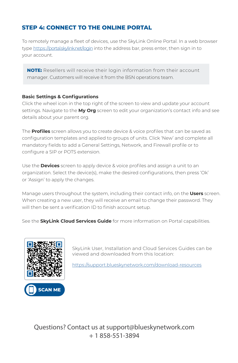#### **STEP 4: CONNECT TO THE ONLINE PORTAL**

To remotely manage a fleet of devices, use the SkyLink Online Portal. In a web browser type https://portal.skylink.net/login into the address bar, press enter, then sign in to your account.

**NOTE:** Resellers will receive their login information from their account manager. Customers will receive it from the BSN operations team.

#### **Basic Settings & Configurations**

Click the wheel icon in the top right of the screen to view and update your account settings. Navigate to the **My Org** screen to edit your organization's contact info and see details about your parent org.

The **Profiles** screen allows you to create device & voice profiles that can be saved as configuration templates and applied to groups of units. Click 'New' and complete all mandatory fields to add a General Settings, Network, and Firewall profile or to configure a SIP or POTS extension.

Use the **Devices** screen to apply device & voice profiles and assign a unit to an organization. Select the device(s), make the desired configurations, then press 'Ok' or 'Assign' to apply the changes.

Manage users throughout the system, including their contact info, on the **Users** screen. When creating a new user, they will receive an email to change their password. They will then be sent a verification ID to finish account setup.

See the **SkyLink Cloud Services Guide** for more information on Portal capabilities.



**SCAN ME**

SkyLink User, Installation and Cloud Services Guides can be viewed and downloaded from this location:

https://support.blueskynetwork.com/download-resources

Questions? Contact us at support@blueskynetwork.com + 1 858-551-3894